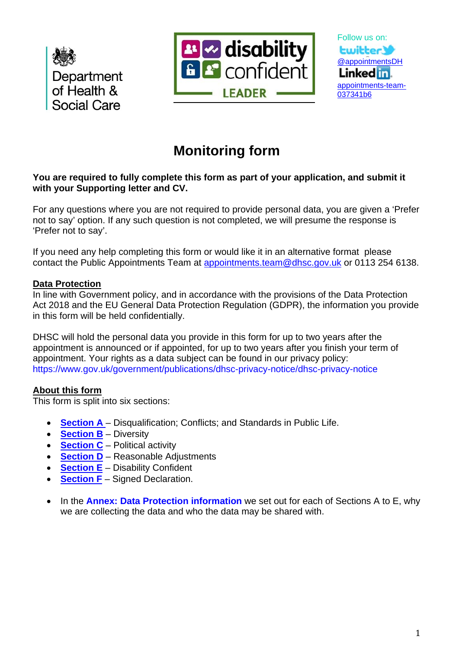





# **Monitoring form**

# **You are required to fully complete this form as part of your application, and submit it with your Supporting letter and CV.**

For any questions where you are not required to provide personal data, you are given a 'Prefer not to say' option. If any such question is not completed, we will presume the response is 'Prefer not to say'.

If you need any help completing this form or would like it in an alternative format please contact the Public Appointments Team at [appointments.team@dhsc.gov.uk](mailto:appointments.team@dhsc.gov.uk) or 0113 254 6138.

# **Data Protection**

In line with Government policy, and in accordance with the provisions of the Data Protection Act 2018 and the EU General Data Protection Regulation (GDPR), the information you provide in this form will be held confidentially.

DHSC will hold the personal data you provide in this form for up to two years after the appointment is announced or if appointed, for up to two years after you finish your term of appointment. Your rights as a data subject can be found in our privacy policy: https://www.gov.uk/government/publications/dhsc-privacy-notice/dhsc-privacy-notice

# **About this form**

This form is split into six sections:

- **[Section A](#page-1-0)** Disqualification; Conflicts; and Standards in Public Life.
- **[Section B](#page-2-0)** Diversity
- **[Section C](#page-2-0)** Political activity
- **[Section D](#page-6-0)** Reasonable Adjustments
- **[Section E](#page-6-1)** Disability Confident
- **[Section F](#page-7-0)** Signed Declaration.
- In the **Annex: Data Protection information** we set out for each of Sections A to E, why we are collecting the data and who the data may be shared with.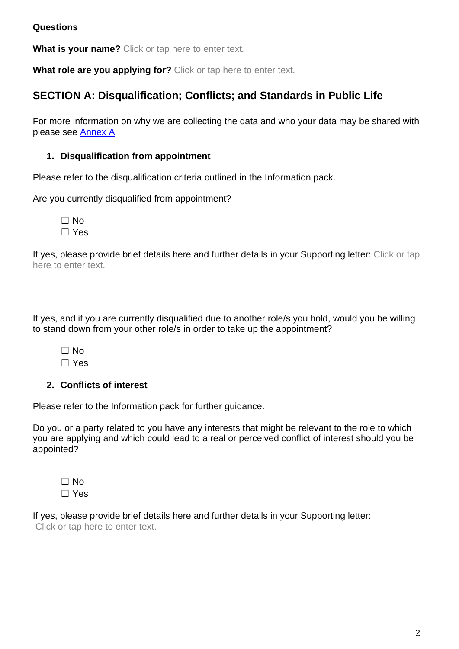# **Questions**

**What is your name?** Click or tap here to enter text.

<span id="page-1-0"></span>**What role are you applying for?** Click or tap here to enter text.

# **SECTION A: Disqualification; Conflicts; and Standards in Public Life**

For more information on why we are collecting the data and who your data may be shared with please see [Annex A](#page-9-0)

# **1. Disqualification from appointment**

Please refer to the disqualification criteria outlined in the Information pack.

Are you currently disqualified from appointment?

☐ No ☐ Yes

If yes, please provide brief details here and further details in your Supporting letter: Click or tap here to enter text.

If yes, and if you are currently disqualified due to another role/s you hold, would you be willing to stand down from your other role/s in order to take up the appointment?

 $\Box$  No ☐ Yes

# **2. Conflicts of interest**

Please refer to the Information pack for further guidance.

Do you or a party related to you have any interests that might be relevant to the role to which you are applying and which could lead to a real or perceived conflict of interest should you be appointed?

☐ No ☐ Yes

If yes, please provide brief details here and further details in your Supporting letter: Click or tap here to enter text.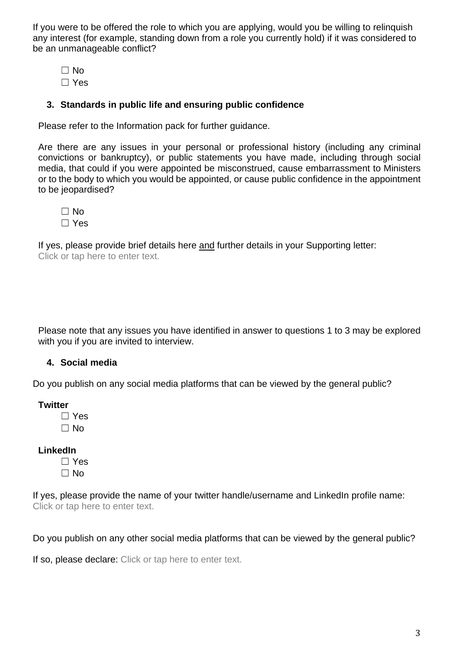If you were to be offered the role to which you are applying, would you be willing to relinquish any interest (for example, standing down from a role you currently hold) if it was considered to be an unmanageable conflict?

 $\square$  No ☐ Yes

# **3. Standards in public life and ensuring public confidence**

Please refer to the Information pack for further guidance.

Are there are any issues in your personal or professional history (including any criminal convictions or bankruptcy), or public statements you have made, including through social media, that could if you were appointed be misconstrued, cause embarrassment to Ministers or to the body to which you would be appointed, or cause public confidence in the appointment to be jeopardised?

☐ No ☐ Yes

If yes, please provide brief details here and further details in your Supporting letter: Click or tap here to enter text.

Please note that any issues you have identified in answer to questions 1 to 3 may be explored with you if you are invited to interview.

### **4. Social media**

Do you publish on any social media platforms that can be viewed by the general public?

**Twitter**

☐ Yes  $\Box$  No

**LinkedIn**

☐ Yes ☐ No

If yes, please provide the name of your twitter handle/username and LinkedIn profile name: Click or tap here to enter text.

Do you publish on any other social media platforms that can be viewed by the general public?

<span id="page-2-0"></span>If so, please declare: Click or tap here to enter text.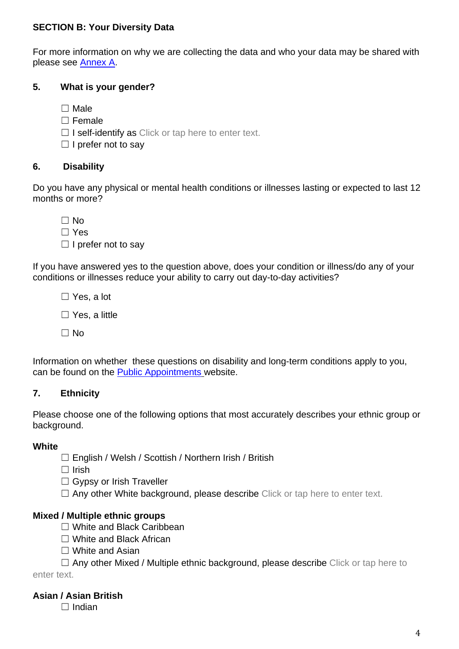# **SECTION B: Your Diversity Data**

For more information on why we are collecting the data and who your data may be shared with please see [Annex A.](#page-9-1)

# **5. What is your gender?**

☐ Male

☐ Female

 $\Box$  I self-identify as Click or tap here to enter text.

 $\Box$  I prefer not to say

# **6. Disability**

Do you have any physical or mental health conditions or illnesses lasting or expected to last 12 months or more?

 $\Box$  No ☐ Yes  $\Box$  I prefer not to say

If you have answered yes to the question above, does your condition or illness/do any of your conditions or illnesses reduce your ability to carry out day-to-day activities?

☐ Yes, a lot

 $\Box$  Yes, a little

 $\Box$  No

Information on whether these questions on disability and long-term conditions apply to you, can be found on the [Public Appointments](https://publicappointments.cabinetoffice.gov.uk/recording-whether-or-not-you-have-a-disability/) website.

# **7. Ethnicity**

Please choose one of the following options that most accurately describes your ethnic group or background.

### **White**

☐ English / Welsh / Scottish / Northern Irish / British

 $\Box$  Irish

□ Gypsy or Irish Traveller

□ Any other White background, please describe Click or tap here to enter text.

# **Mixed / Multiple ethnic groups**

- ☐ White and Black Caribbean
- ☐ White and Black African
- ☐ White and Asian

 $\Box$  Any other Mixed / Multiple ethnic background, please describe Click or tap here to enter text.

# **Asian / Asian British**

☐ Indian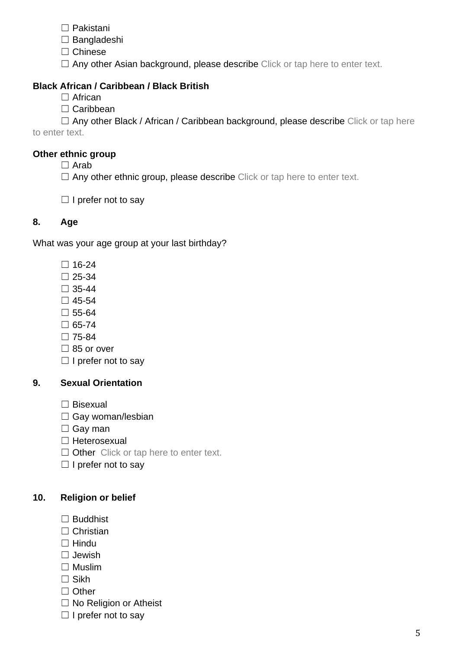- ☐ Pakistani
- ☐ Bangladeshi
- ☐ Chinese
- □ Any other Asian background, please describe Click or tap here to enter text.

# **Black African / Caribbean / Black British**

- □ African
- □ Caribbean

 $\Box$  Any other Black / African / Caribbean background, please describe Click or tap here to enter text.

# **Other ethnic group**

- $\Box$  Arab
- $\Box$  Any other ethnic group, please describe Click or tap here to enter text.
- $\Box$  I prefer not to say

# **8. Age**

What was your age group at your last birthday?

- ☐ 16-24
- $\square$  25-34
- $\Box$  35-44
- $\square$  45-54
- ☐ 55-64
- $\Box$  65-74
- ☐ 75-84
- $\square$  85 or over
- $\Box$  I prefer not to say

# **9. Sexual Orientation**

- ☐ Bisexual
- $\Box$  Gay woman/lesbian
- □ Gay man
- ☐ Heterosexual
- □ Other Click or tap here to enter text.
- $\Box$  I prefer not to say

# **10. Religion or belief**

- ☐ Buddhist
- □ Christian
- ☐ Hindu
- ☐ Jewish
- ☐ Muslim
- ☐ Sikh
- □ Other
- □ No Religion or Atheist
- $\Box$  I prefer not to say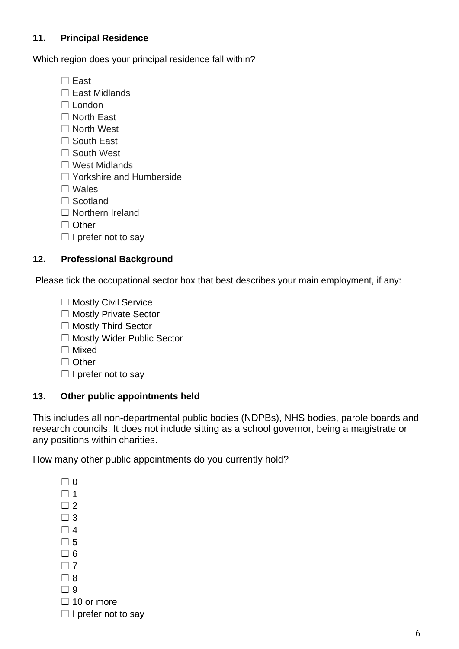# **11. Principal Residence**

Which region does your principal residence fall within?

- ☐ East
- ☐ East Midlands
- □ London
- ☐ North East
- □ North West
- ☐ South East
- ☐ South West
- ☐ West Midlands
- ☐ Yorkshire and Humberside
- ☐ Wales
- ☐ Scotland
- ☐ Northern Ireland
- ☐ Other
- $\Box$  I prefer not to say

# **12. Professional Background**

Please tick the occupational sector box that best describes your main employment, if any:

- □ Mostly Civil Service
- ☐ Mostly Private Sector
- ☐ Mostly Third Sector
- ☐ Mostly Wider Public Sector
- ☐ Mixed
- ☐ Other
- $\Box$  I prefer not to say

# **13. Other public appointments held**

This includes all non-departmental public bodies (NDPBs), NHS bodies, parole boards and research councils. It does not include sitting as a school governor, being a magistrate or any positions within charities.

How many other public appointments do you currently hold?

- $\Box$  0  $\Box$  1
- 
- $\Box$  2
- $\Box$  3  $\Box$  4
- 
- $\Box$  5  $\Box$  6
- 
- $\Box$  7
- $\Box$  8
- $\Box$  9
- $\Box$  10 or more
- $\Box$  I prefer not to say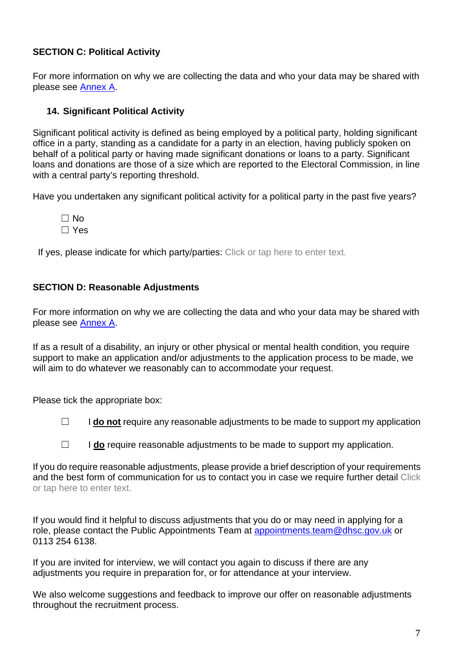# <span id="page-6-2"></span>**SECTION C: Political Activity**

For more information on why we are collecting the data and who your data may be shared with please see [Annex A.](#page-10-0)

# **14. Significant Political Activity**

Significant political activity is defined as being employed by a political party, holding significant office in a party, standing as a candidate for a party in an election, having publicly spoken on behalf of a political party or having made significant donations or loans to a party. Significant loans and donations are those of a size which are reported to the Electoral Commission, in line with a central party's reporting threshold.

Have you undertaken any significant political activity for a political party in the past five years?

 $\Box$  No ☐ Yes

If yes, please indicate for which party/parties: Click or tap here to enter text.

# <span id="page-6-0"></span>**SECTION D: Reasonable Adjustments**

For more information on why we are collecting the data and who your data may be shared with please see [Annex A.](#page-11-0)

If as a result of a disability, an injury or other physical or mental health condition, you require support to make an application and/or adjustments to the application process to be made, we will aim to do whatever we reasonably can to accommodate your request.

Please tick the appropriate box:

□ **I do not** require any reasonable adjustments to be made to support my application

☐ I **do** require reasonable adjustments to be made to support my application.

If you do require reasonable adjustments, please provide a brief description of your requirements and the best form of communication for us to contact you in case we require further detail Click or tap here to enter text.

If you would find it helpful to discuss adjustments that you do or may need in applying for a role, please contact the Public Appointments Team at [appointments.team@dhsc.gov.uk](mailto:appointments.team@dhsc.gov.uk) or 0113 254 6138.

If you are invited for interview, we will contact you again to discuss if there are any adjustments you require in preparation for, or for attendance at your interview.

<span id="page-6-1"></span>We also welcome suggestions and feedback to improve our offer on reasonable adjustments throughout the recruitment process.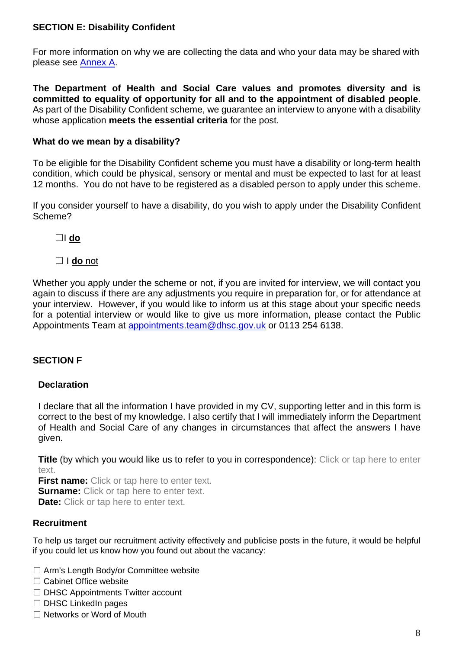# <span id="page-7-1"></span>**SECTION E: Disability Confident**

For more information on why we are collecting the data and who your data may be shared with please see [Annex A.](#page-11-1)

**The Department of Health and Social Care values and promotes diversity and is committed to equality of opportunity for all and to the appointment of disabled people**. As part of the Disability Confident scheme, we guarantee an interview to anyone with a disability whose application **meets the essential criteria** for the post.

# **What do we mean by a disability?**

To be eligible for the Disability Confident scheme you must have a disability or long-term health condition, which could be physical, sensory or mental and must be expected to last for at least 12 months. You do not have to be registered as a disabled person to apply under this scheme.

If you consider yourself to have a disability, do you wish to apply under the Disability Confident Scheme?

☐I **do** 

# ☐ I **do** not

Whether you apply under the scheme or not, if you are invited for interview, we will contact you again to discuss if there are any adjustments you require in preparation for, or for attendance at your interview. However, if you would like to inform us at this stage about your specific needs for a potential interview or would like to give us more information, please contact the Public Appointments Team at [appointments.team@dhsc.gov.uk](mailto:appointments.team@dhsc.gov.uk) or 0113 254 6138.

# <span id="page-7-0"></span>**SECTION F**

# **Declaration**

I declare that all the information I have provided in my CV, supporting letter and in this form is correct to the best of my knowledge. I also certify that I will immediately inform the Department of Health and Social Care of any changes in circumstances that affect the answers I have given.

**Title** (by which you would like us to refer to you in correspondence): Click or tap here to enter text

**First name:** Click or tap here to enter text. **Surname:** Click or tap here to enter text. **Date:** Click or tap here to enter text.

# **Recruitment**

To help us target our recruitment activity effectively and publicise posts in the future, it would be helpful if you could let us know how you found out about the vacancy:

- ☐ Arm's Length Body/or Committee website
- ☐ Cabinet Office website
- □ DHSC Appointments Twitter account
- ☐ DHSC LinkedIn pages
- ☐ Networks or Word of Mouth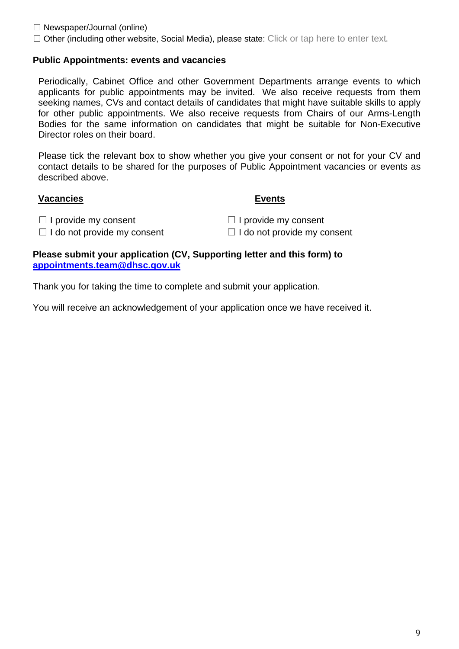$\Box$  Newspaper/Journal (online)

□ Other (including other website, Social Media), please state: Click or tap here to enter text.

## **Public Appointments: events and vacancies**

Periodically, Cabinet Office and other Government Departments arrange events to which applicants for public appointments may be invited. We also receive requests from them seeking names, CVs and contact details of candidates that might have suitable skills to apply for other public appointments. We also receive requests from Chairs of our Arms-Length Bodies for the same information on candidates that might be suitable for Non-Executive Director roles on their board.

Please tick the relevant box to show whether you give your consent or not for your CV and contact details to be shared for the purposes of Public Appointment vacancies or events as described above.

### **Vacancies Events**

☐ I provide my consent ☐ I provide my consent

☐ I do not provide my consent ☐ I do not provide my consent

#### **Please submit your application (CV, Supporting letter and this form) to [appointments.team@dhsc.gov.uk](mailto:appointments.team@dhsc.gov.uk)**

Thank you for taking the time to complete and submit your application.

You will receive an acknowledgement of your application once we have received it.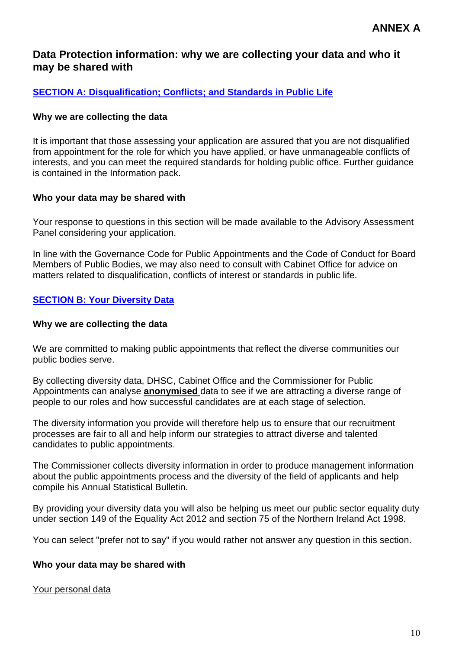# **Data Protection information: why we are collecting your data and who it may be shared with**

# <span id="page-9-0"></span>**[SECTION A: Disqualification; Conflicts; and Standards in Public Life](#page-1-0)**

#### **Why we are collecting the data**

It is important that those assessing your application are assured that you are not disqualified from appointment for the role for which you have applied, or have unmanageable conflicts of interests, and you can meet the required standards for holding public office. Further guidance is contained in the Information pack.

#### **Who your data may be shared with**

Your response to questions in this section will be made available to the Advisory Assessment Panel considering your application.

In line with the Governance Code for Public Appointments and the Code of Conduct for Board Members of Public Bodies, we may also need to consult with Cabinet Office for advice on matters related to disqualification, conflicts of interest or standards in public life.

# <span id="page-9-1"></span>**[SECTION B: Your Diversity Data](#page-2-0)**

#### **Why we are collecting the data**

We are committed to making public appointments that reflect the diverse communities our public bodies serve.

By collecting diversity data, DHSC, Cabinet Office and the Commissioner for Public Appointments can analyse **anonymised** data to see if we are attracting a diverse range of people to our roles and how successful candidates are at each stage of selection.

The diversity information you provide will therefore help us to ensure that our recruitment processes are fair to all and help inform our strategies to attract diverse and talented candidates to public appointments.

The Commissioner collects diversity information in order to produce management information about the public appointments process and the diversity of the field of applicants and help compile his Annual Statistical Bulletin.

By providing your diversity data you will also be helping us meet our public sector equality duty under section 149 of the Equality Act 2012 and section 75 of the Northern Ireland Act 1998.

You can select "prefer not to say" if you would rather not answer any question in this section.

### **Who your data may be shared with**

#### Your personal data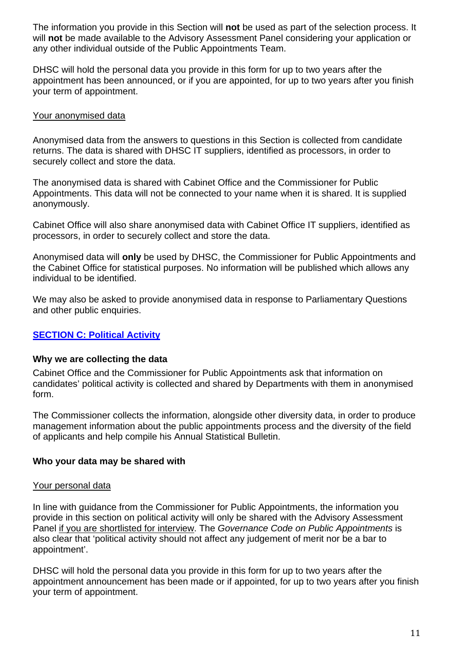The information you provide in this Section will **not** be used as part of the selection process. It will **not** be made available to the Advisory Assessment Panel considering your application or any other individual outside of the Public Appointments Team.

DHSC will hold the personal data you provide in this form for up to two years after the appointment has been announced, or if you are appointed, for up to two years after you finish your term of appointment.

## Your anonymised data

Anonymised data from the answers to questions in this Section is collected from candidate returns. The data is shared with DHSC IT suppliers, identified as processors, in order to securely collect and store the data.

The anonymised data is shared with Cabinet Office and the Commissioner for Public Appointments. This data will not be connected to your name when it is shared. It is supplied anonymously.

Cabinet Office will also share anonymised data with Cabinet Office IT suppliers, identified as processors, in order to securely collect and store the data.

Anonymised data will **only** be used by DHSC, the Commissioner for Public Appointments and the Cabinet Office for statistical purposes. No information will be published which allows any individual to be identified.

We may also be asked to provide anonymised data in response to Parliamentary Questions and other public enquiries.

# <span id="page-10-0"></span>**[SECTION C: Political Activity](#page-6-2)**

### **Why we are collecting the data**

Cabinet Office and the Commissioner for Public Appointments ask that information on candidates' political activity is collected and shared by Departments with them in anonymised form.

The Commissioner collects the information, alongside other diversity data, in order to produce management information about the public appointments process and the diversity of the field of applicants and help compile his Annual Statistical Bulletin.

### **Who your data may be shared with**

### Your personal data

In line with guidance from the Commissioner for Public Appointments, the information you provide in this section on political activity will only be shared with the Advisory Assessment Panel if you are shortlisted for interview. The *Governance Code on Public Appointments* is also clear that 'political activity should not affect any judgement of merit nor be a bar to appointment'.

DHSC will hold the personal data you provide in this form for up to two years after the appointment announcement has been made or if appointed, for up to two years after you finish your term of appointment.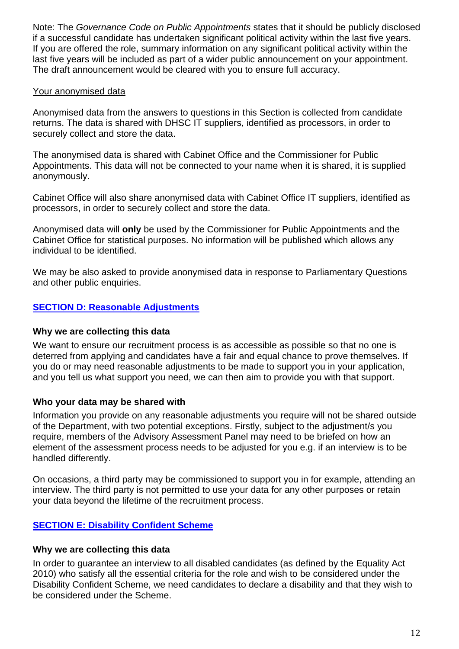Note: The *Governance Code on Public Appointments* states that it should be publicly disclosed if a successful candidate has undertaken significant political activity within the last five years. If you are offered the role, summary information on any significant political activity within the last five years will be included as part of a wider public announcement on your appointment. The draft announcement would be cleared with you to ensure full accuracy.

# Your anonymised data

Anonymised data from the answers to questions in this Section is collected from candidate returns. The data is shared with DHSC IT suppliers, identified as processors, in order to securely collect and store the data.

The anonymised data is shared with Cabinet Office and the Commissioner for Public Appointments. This data will not be connected to your name when it is shared, it is supplied anonymously.

Cabinet Office will also share anonymised data with Cabinet Office IT suppliers, identified as processors, in order to securely collect and store the data.

Anonymised data will **only** be used by the Commissioner for Public Appointments and the Cabinet Office for statistical purposes. No information will be published which allows any individual to be identified.

We may be also asked to provide anonymised data in response to Parliamentary Questions and other public enquiries.

# <span id="page-11-0"></span>**[SECTION D: Reasonable Adjustments](#page-6-0)**

### **Why we are collecting this data**

We want to ensure our recruitment process is as accessible as possible so that no one is deterred from applying and candidates have a fair and equal chance to prove themselves. If you do or may need reasonable adjustments to be made to support you in your application, and you tell us what support you need, we can then aim to provide you with that support.

# **Who your data may be shared with**

Information you provide on any reasonable adjustments you require will not be shared outside of the Department, with two potential exceptions. Firstly, subject to the adjustment/s you require, members of the Advisory Assessment Panel may need to be briefed on how an element of the assessment process needs to be adjusted for you e.g. if an interview is to be handled differently.

On occasions, a third party may be commissioned to support you in for example, attending an interview. The third party is not permitted to use your data for any other purposes or retain your data beyond the lifetime of the recruitment process.

# <span id="page-11-1"></span>**[SECTION E: Disability Confident](#page-7-1) Scheme**

### **Why we are collecting this data**

In order to guarantee an interview to all disabled candidates (as defined by the Equality Act 2010) who satisfy all the essential criteria for the role and wish to be considered under the Disability Confident Scheme, we need candidates to declare a disability and that they wish to be considered under the Scheme.